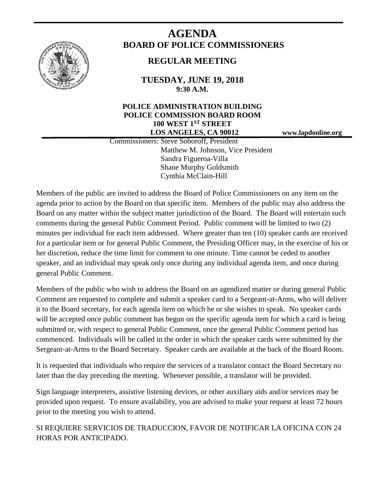

# **AGENDA BOARD OF POLICE COMMISSIONERS**

# **REGULAR MEETING**

**TUESDAY, JUNE 19, 2018 9:30 A.M.**

# **POLICE ADMINISTRATION BUILDING POLICE COMMISSION BOARD ROOM 100 WEST 1ST STREET LOS ANGELES, CA 90012 www.lapdonline.org**

 Commissioners: Steve Soboroff, President Matthew M. Johnson, Vice President Sandra Figueroa-Villa Shane Murphy Goldsmith Cynthia McClain-Hill

Members of the public are invited to address the Board of Police Commissioners on any item on the agenda prior to action by the Board on that specific item. Members of the public may also address the Board on any matter within the subject matter jurisdiction of the Board. The Board will entertain such comments during the general Public Comment Period. Public comment will be limited to two (2) minutes per individual for each item addressed. Where greater than ten (10) speaker cards are received for a particular item or for general Public Comment, the Presiding Officer may, in the exercise of his or her discretion, reduce the time limit for comment to one minute. Time cannot be ceded to another speaker, and an individual may speak only once during any individual agenda item, and once during general Public Comment.

Members of the public who wish to address the Board on an agendized matter or during general Public Comment are requested to complete and submit a speaker card to a Sergeant-at-Arms, who will deliver it to the Board secretary, for each agenda item on which he or she wishes to speak. No speaker cards will be accepted once public comment has begun on the specific agenda item for which a card is being submitted or, with respect to general Public Comment, once the general Public Comment period has commenced. Individuals will be called in the order in which the speaker cards were submitted by the Sergeant-at-Arms to the Board Secretary. Speaker cards are available at the back of the Board Room.

It is requested that individuals who require the services of a translator contact the Board Secretary no later than the day preceding the meeting. Whenever possible, a translator will be provided.

Sign language interpreters, assistive listening devices, or other auxiliary aids and/or services may be provided upon request. To ensure availability, you are advised to make your request at least 72 hours prior to the meeting you wish to attend.

SI REQUIERE SERVICIOS DE TRADUCCION, FAVOR DE NOTIFICAR LA OFICINA CON 24 HORAS POR ANTICIPADO.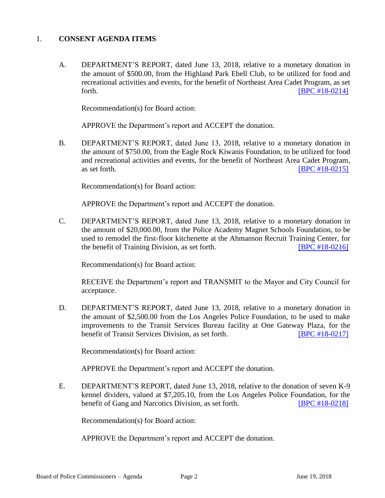#### 1. **CONSENT AGENDA ITEMS**

A. DEPARTMENT'S REPORT, dated June 13, 2018, relative to a monetary donation in the amount of \$500.00, from the Highland Park Ebell Club, to be utilized for food and recreational activities and events, for the benefit of Northeast Area Cadet Program, as set forth. **EXECUTE: EXECUTE: EXECUTE: EXECUTE: EXECUTE: EXECUTE: EXECUTE: EXECUTE: EXECUTE: EXECUTE: EXECUTE: EXECUTE: EXECUTE: EXECUTE: EXECUTE: EXECUTE: EXECUTE: EXECUTE: EXECUTE: EXECU** 

Recommendation(s) for Board action:

APPROVE the Department's report and ACCEPT the donation.

B. DEPARTMENT'S REPORT, dated June 13, 2018, relative to a monetary donation in the amount of \$750.00, from the Eagle Rock Kiwanis Foundation, to be utilized for food and recreational activities and events, for the benefit of Northeast Area Cadet Program, as set forth. **IBPC** #18-0215]

Recommendation(s) for Board action:

APPROVE the Department's report and ACCEPT the donation.

C. DEPARTMENT'S REPORT, dated June 13, 2018, relative to a monetary donation in the amount of \$20,000.00, from the Police Academy Magnet Schools Foundation, to be used to remodel the first-floor kitchenette at the Ahmanson Recruit Training Center, for the benefit of Training Division, as set forth. **[\[BPC #18-0216\]](http://www.lapdpolicecom.lacity.org/061918/BPC_18-0216.pdf)** 

Recommendation(s) for Board action:

RECEIVE the Department's report and TRANSMIT to the Mayor and City Council for acceptance.

D. DEPARTMENT'S REPORT, dated June 13, 2018, relative to a monetary donation in the amount of \$2,500.00 from the Los Angeles Police Foundation, to be used to make improvements to the Transit Services Bureau facility at One Gateway Plaza, for the benefit of Transit Services Division, as set forth. **[\[BPC #18-0217\]](http://www.lapdpolicecom.lacity.org/061918/BPC_18-0217.pdf)** 

Recommendation(s) for Board action:

APPROVE the Department's report and ACCEPT the donation.

E. DEPARTMENT'S REPORT, dated June 13, 2018, relative to the donation of seven K-9 kennel dividers, valued at \$7,205.10, from the Los Angeles Police Foundation, for the benefit of Gang and Narcotics Division, as set forth. **[\[BPC #18-0218\]](http://www.lapdpolicecom.lacity.org/061918/BPC_18-0218.pdf)** 

Recommendation(s) for Board action:

APPROVE the Department's report and ACCEPT the donation.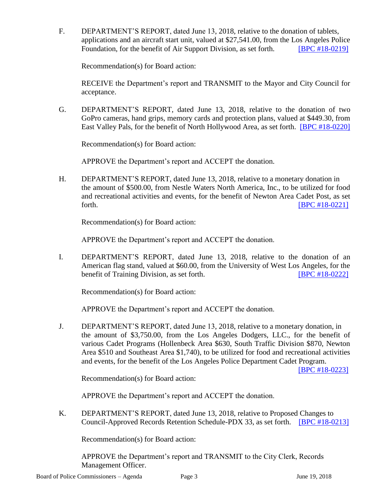F. DEPARTMENT'S REPORT, dated June 13, 2018, relative to the donation of tablets, applications and an aircraft start unit, valued at \$27,541.00, from the Los Angeles Police Foundation, for the benefit of Air Support Division, as set forth. **[\[BPC #18-0219\]](http://www.lapdpolicecom.lacity.org/061918/BPC_18-0219.pdf)** 

Recommendation(s) for Board action:

RECEIVE the Department's report and TRANSMIT to the Mayor and City Council for acceptance.

G. DEPARTMENT'S REPORT, dated June 13, 2018, relative to the donation of two GoPro cameras, hand grips, memory cards and protection plans, valued at \$449.30, from East Valley Pals, for the benefit of North Hollywood Area, as set forth. [\[BPC #18-0220\]](http://www.lapdpolicecom.lacity.org/061918/BPC_18-0220.pdf)

Recommendation(s) for Board action:

APPROVE the Department's report and ACCEPT the donation.

H. DEPARTMENT'S REPORT, dated June 13, 2018, relative to a monetary donation in the amount of \$500.00, from Nestle Waters North America, Inc., to be utilized for food and recreational activities and events, for the benefit of Newton Area Cadet Post, as set forth. **IBPC #18-0221** 

Recommendation(s) for Board action:

APPROVE the Department's report and ACCEPT the donation.

I. DEPARTMENT'S REPORT, dated June 13, 2018, relative to the donation of an American flag stand, valued at \$60.00, from the University of West Los Angeles, for the benefit of Training Division, as set forth. **[\[BPC #18-0222\]](http://www.lapdpolicecom.lacity.org/061918/BPC_18-0222.pdf)** 

Recommendation(s) for Board action:

APPROVE the Department's report and ACCEPT the donation.

J. DEPARTMENT'S REPORT, dated June 13, 2018, relative to a monetary donation, in the amount of \$3,750.00, from the Los Angeles Dodgers, LLC., for the benefit of various Cadet Programs (Hollenbeck Area \$630, South Traffic Division \$870, Newton Area \$510 and Southeast Area \$1,740), to be utilized for food and recreational activities and events, for the benefit of the Los Angeles Police Department Cadet Program.

[\[BPC #18-0223\]](http://www.lapdpolicecom.lacity.org/061918/BPC_18-0223.pdf)

Recommendation(s) for Board action:

APPROVE the Department's report and ACCEPT the donation.

K. DEPARTMENT'S REPORT, dated June 13, 2018, relative to Proposed Changes to Council-Approved Records Retention Schedule-PDX 33, as set forth. [\[BPC #18-0213\]](http://www.lapdpolicecom.lacity.org/061918/BPC_18-0213.pdf)

Recommendation(s) for Board action:

APPROVE the Department's report and TRANSMIT to the City Clerk, Records Management Officer.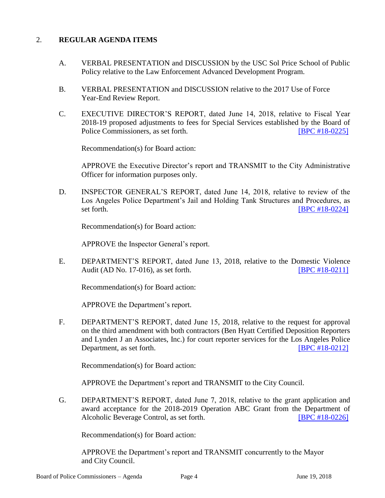## 2. **REGULAR AGENDA ITEMS**

- A. VERBAL PRESENTATION and DISCUSSION by the USC Sol Price School of Public Policy relative to the Law Enforcement Advanced Development Program.
- B. VERBAL PRESENTATION and DISCUSSION relative to the 2017 Use of Force Year-End Review Report.
- C. EXECUTIVE DIRECTOR'S REPORT, dated June 14, 2018, relative to Fiscal Year 2018-19 proposed adjustments to fees for Special Services established by the Board of Police Commissioners, as set forth. **[\[BPC #18-0225\]](http://www.lapdpolicecom.lacity.org/061918/BPC_18-0225.pdf)**

Recommendation(s) for Board action:

APPROVE the Executive Director's report and TRANSMIT to the City Administrative Officer for information purposes only.

D. INSPECTOR GENERAL'S REPORT, dated June 14, 2018, relative to review of the Los Angeles Police Department's Jail and Holding Tank Structures and Procedures, as set forth. **IBPC** #18-0224]

Recommendation(s) for Board action:

APPROVE the Inspector General's report.

E. DEPARTMENT'S REPORT, dated June 13, 2018, relative to the Domestic Violence Audit (AD No. 17-016), as set forth. [\[BPC #18-0211\]](http://www.lapdpolicecom.lacity.org/061918/BPC_18-0211.pdf)

Recommendation(s) for Board action:

APPROVE the Department's report.

F. DEPARTMENT'S REPORT, dated June 15, 2018, relative to the request for approval on the third amendment with both contractors (Ben Hyatt Certified Deposition Reporters and Lynden J an Associates, Inc.) for court reporter services for the Los Angeles Police Department, as set forth. **IBPC #18-0212** 

Recommendation(s) for Board action:

APPROVE the Department's report and TRANSMIT to the City Council.

G. DEPARTMENT'S REPORT, dated June 7, 2018, relative to the grant application and award acceptance for the 2018-2019 Operation ABC Grant from the Department of Alcoholic Beverage Control, as set forth. [\[BPC #18-0226\]](http://www.lapdpolicecom.lacity.org/061918/BPC_18-0226.pdf)

Recommendation(s) for Board action:

APPROVE the Department's report and TRANSMIT concurrently to the Mayor and City Council.